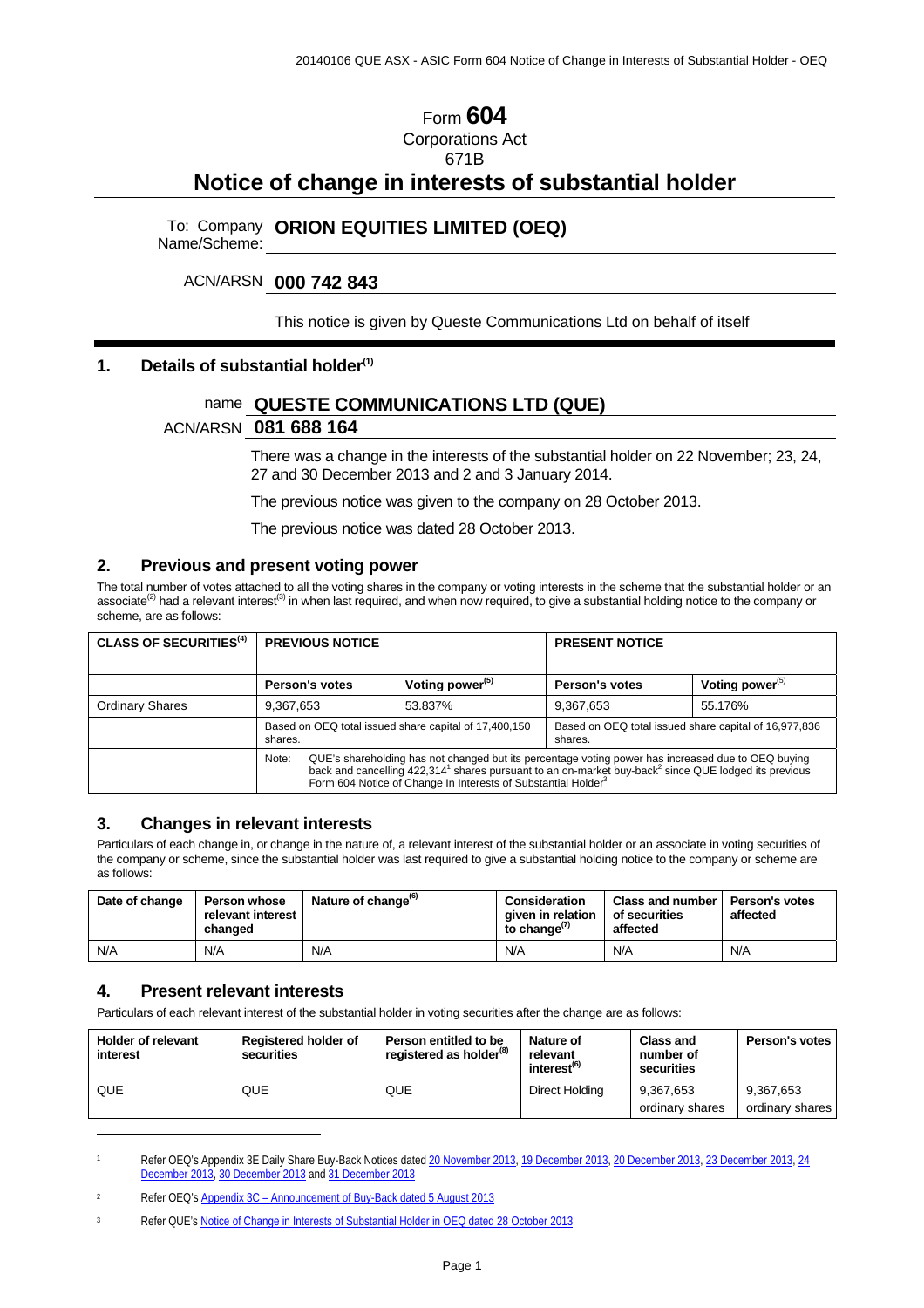# Form **604** Corporations Act

671B

# **Notice of change in interests of substantial holder**

To: Company Name/Scheme: **ORION EQUITIES LIMITED (OEQ)** 

## ACN/ARSN **000 742 843**

#### This notice is given by Queste Communications Ltd on behalf of itself

## **1. Details of substantial holder(1)**

# name **QUESTE COMMUNICATIONS LTD (QUE)**

## ACN/ARSN **081 688 164**

There was a change in the interests of the substantial holder on 22 November; 23, 24, 27 and 30 December 2013 and 2 and 3 January 2014.

The previous notice was given to the company on 28 October 2013.

The previous notice was dated 28 October 2013.

## **2. Previous and present voting power**

The total number of votes attached to all the voting shares in the company or voting interests in the scheme that the substantial holder or an associate<sup>(2)</sup> had a relevant interest<sup>(3)</sup> in when last required, and when now required, to give a substantial holding notice to the company or scheme, are as follows:

| <b>CLASS OF SECURITIES<sup>(4)</sup></b> | <b>PREVIOUS NOTICE</b>                                                                                                                                                                                                                                                                                                   |                             | <b>PRESENT NOTICE</b>                                            |                    |  |
|------------------------------------------|--------------------------------------------------------------------------------------------------------------------------------------------------------------------------------------------------------------------------------------------------------------------------------------------------------------------------|-----------------------------|------------------------------------------------------------------|--------------------|--|
|                                          |                                                                                                                                                                                                                                                                                                                          |                             |                                                                  |                    |  |
|                                          | Person's votes                                                                                                                                                                                                                                                                                                           | Voting power <sup>(5)</sup> | <b>Person's votes</b>                                            | Voting power $(5)$ |  |
| <b>Ordinary Shares</b>                   | 9,367,653                                                                                                                                                                                                                                                                                                                | 53.837%                     | 9,367,653                                                        | 55.176%            |  |
|                                          | Based on OEQ total issued share capital of 17,400,150<br>shares.                                                                                                                                                                                                                                                         |                             | Based on OEQ total issued share capital of 16,977,836<br>shares. |                    |  |
|                                          | QUE's shareholding has not changed but its percentage voting power has increased due to OEQ buying<br>Note:<br>back and cancelling 422,314 <sup>1</sup> shares pursuant to an on-market buy-back <sup>2</sup> since QUE lodged its previous<br>Form 604 Notice of Change In Interests of Substantial Holder <sup>3</sup> |                             |                                                                  |                    |  |

#### **3. Changes in relevant interests**

Particulars of each change in, or change in the nature of, a relevant interest of the substantial holder or an associate in voting securities of the company or scheme, since the substantial holder was last required to give a substantial holding notice to the company or scheme are as follows:

| Date of change | <b>Person whose</b><br>relevant interest<br>changed | Nature of change <sup>(6)</sup> | Consideration<br>aiven in relation<br>to change <sup>(7)</sup> | Class and number I<br>of securities<br>affected | <b>Person's votes</b><br>affected |
|----------------|-----------------------------------------------------|---------------------------------|----------------------------------------------------------------|-------------------------------------------------|-----------------------------------|
| N/A            | N/A                                                 | N/A                             | N/A                                                            | N/A                                             | N/A                               |

## **4. Present relevant interests**

 $\ddot{\phantom{a}}$ 

Particulars of each relevant interest of the substantial holder in voting securities after the change are as follows:

| <b>Holder of relevant</b><br>interest | <b>Registered holder of</b><br>securities | Person entitled to be<br>registered as holder <sup>(8)</sup> | Nature of<br>relevant<br>interest <sup>(6)</sup> | <b>Class and</b><br>number of<br>securities | Person's votes               |
|---------------------------------------|-------------------------------------------|--------------------------------------------------------------|--------------------------------------------------|---------------------------------------------|------------------------------|
| QUE                                   | QUE                                       | <b>QUE</b>                                                   | Direct Holding                                   | 9.367.653<br>ordinary shares                | 9.367.653<br>ordinary shares |

Refer OEQ's Appendix 3E Daily Share Buy-Back Notices dated 20 November 2013, 19 December 2013, 20 December 2013, 23 December 2013, 24 December 2013, 30 December 2013 and 31 December 2013

<sup>2</sup> Refer OEQ's Appendix 3C – Announcement of Buy-Back dated 5 August 2013

<sup>3</sup> Refer QUE's Notice of Change in Interests of Substantial Holder in OEQ dated 28 October 2013